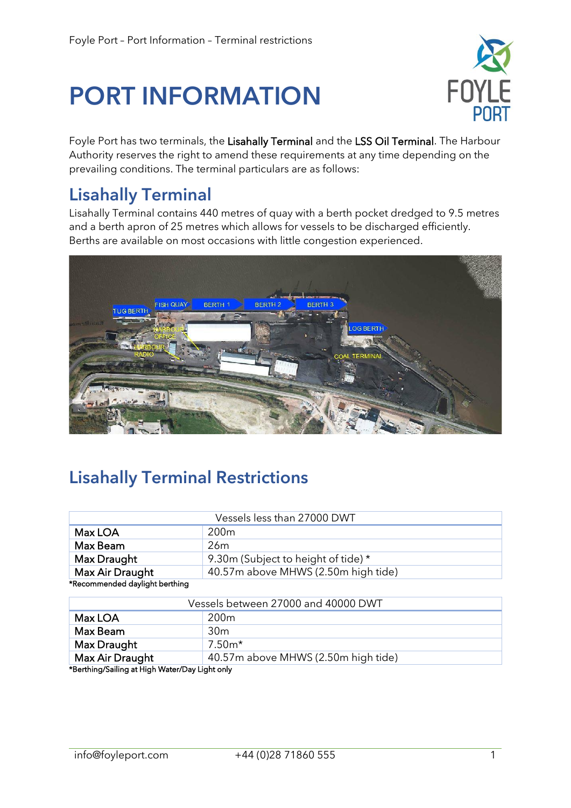# PORT INFORMATION



Foyle Port has two terminals, the Lisahally Terminal and the LSS Oil Terminal. The Harbour Authority reserves the right to amend these requirements at any time depending on the prevailing conditions. The terminal particulars are as follows:

#### Lisahally Terminal

Lisahally Terminal contains 440 metres of quay with a berth pocket dredged to 9.5 metres and a berth apron of 25 metres which allows for vessels to be discharged efficiently. Berths are available on most occasions with little congestion experienced.



## Lisahally Terminal Restrictions

| Vessels less than 27000 DWT                            |                                     |  |
|--------------------------------------------------------|-------------------------------------|--|
| Max LOA                                                | 200 <sub>m</sub>                    |  |
| Max Beam                                               | 26 <sub>m</sub>                     |  |
| Max Draught                                            | 9.30m (Subject to height of tide) * |  |
| Max Air Draught<br>40.57m above MHWS (2.50m high tide) |                                     |  |
| *Recommended daylight berthing                         |                                     |  |
| $\frac{1}{2}$                                          |                                     |  |

| Vessels between 27000 and 40000 DWT                                                                                                                                                                                           |                                     |  |
|-------------------------------------------------------------------------------------------------------------------------------------------------------------------------------------------------------------------------------|-------------------------------------|--|
| Max LOA                                                                                                                                                                                                                       | 200 <sub>m</sub>                    |  |
| Max Beam                                                                                                                                                                                                                      | 30 <sub>m</sub>                     |  |
| Max Draught                                                                                                                                                                                                                   | $7.50m*$                            |  |
| Max Air Draught                                                                                                                                                                                                               | 40.57m above MHWS (2.50m high tide) |  |
| And the contract of the contract and contract the contract of the contract of the contract of the contract of the contract of the contract of the contract of the contract of the contract of the contract of the contract of |                                     |  |

\*Berthing/Sailing at High Water/Day Light only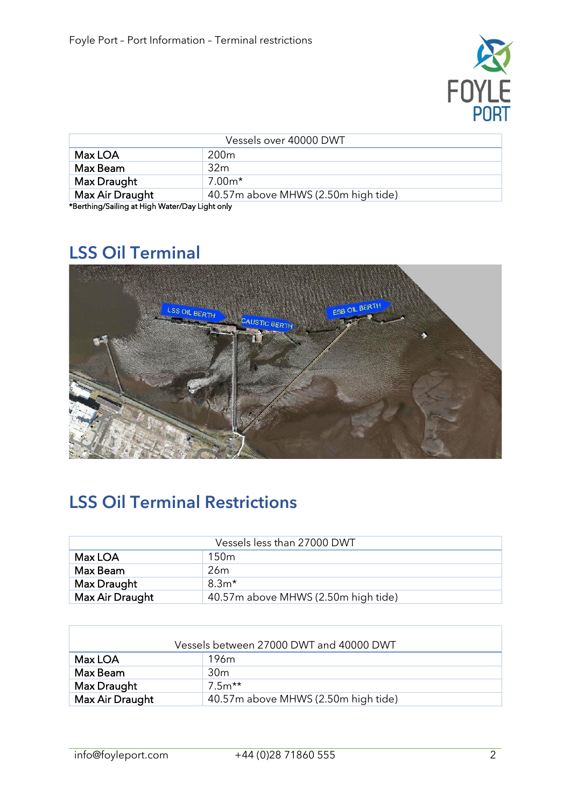

| Vessels over 40000 DWT                         |                                     |  |
|------------------------------------------------|-------------------------------------|--|
| Max LOA                                        | 200 <sub>m</sub>                    |  |
| Max Beam                                       | 32 <sub>m</sub>                     |  |
| Max Draught                                    | $7.00m*$                            |  |
| Max Air Draught                                | 40.57m above MHWS (2.50m high tide) |  |
| *Berthing/Sailing at High Water/Day Light only |                                     |  |

\*Berthing/Sailing at High Water/Day Light only

### LSS Oil Terminal



#### LSS Oil Terminal Restrictions

| Vessels less than 27000 DWT |                                     |  |
|-----------------------------|-------------------------------------|--|
| Max LOA                     | 150 <sub>m</sub>                    |  |
| Max Beam                    | 26 <sub>m</sub>                     |  |
| Max Draught                 | $8.3m*$                             |  |
| Max Air Draught             | 40.57m above MHWS (2.50m high tide) |  |

| Vessels between 27000 DWT and 40000 DWT |                                     |  |
|-----------------------------------------|-------------------------------------|--|
| Max LOA                                 | 196 <sub>m</sub>                    |  |
| Max Beam                                | 30 <sub>m</sub>                     |  |
| Max Draught                             | $7.5m**$                            |  |
| Max Air Draught                         | 40.57m above MHWS (2.50m high tide) |  |